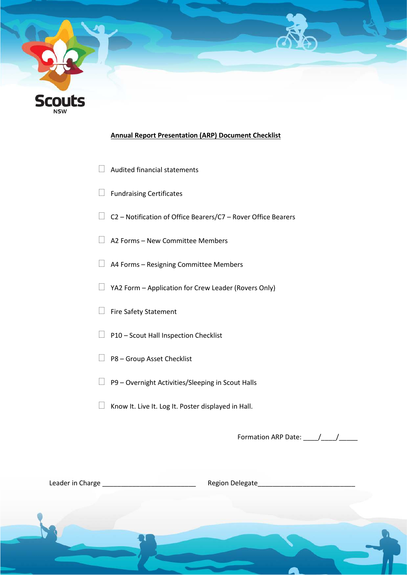

#### **Annual Report Presentation (ARP) Document Checklist**

- $\Box$  Audited financial statements
- $\Box$  Fundraising Certificates
- $\Box$  C2 Notification of Office Bearers/C7 Rover Office Bearers
- $\Box$  A2 Forms New Committee Members
- A4 Forms Resigning Committee Members
- $\Box$  YA2 Form Application for Crew Leader (Rovers Only)
- Fire Safety Statement
- $\Box$  P10 Scout Hall Inspection Checklist
- $\Box$  P8 Group Asset Checklist
- $\Box$  P9 Overnight Activities/Sleeping in Scout Halls
- $\Box$  Know It. Live It. Log It. Poster displayed in Hall.

Formation ARP Date: \_\_\_\_/\_\_\_\_/\_\_\_\_\_

Leader in Charge \_\_\_\_\_\_\_\_\_\_\_\_\_\_\_\_\_\_\_\_\_\_\_\_\_ Region Delegate\_\_\_\_\_\_\_\_\_\_\_\_\_\_\_\_\_\_\_\_\_\_\_\_\_\_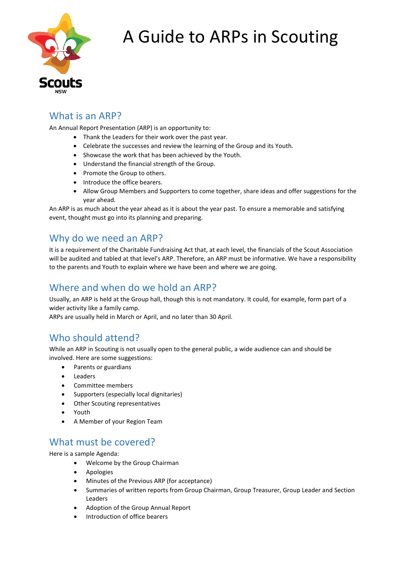

# A Guide to ARPs in Scouting

## What is an ARP?

An Annual Report Presentation (ARP) is an opportunity to:

- Thank the Leaders for their work over the past year.
- Celebrate the successes and review the learning of the Group and its Youth.
- Showcase the work that has been achieved by the Youth.
- Understand the financial strength of the Group.
- Promote the Group to others.
- Introduce the office bearers.
- Allow Group Members and Supporters to come together, share ideas and offer suggestions for the year ahead.

An ARP is as much about the year ahead as it is about the year past. To ensure a memorable and satisfying event, thought must go into its planning and preparing.

#### Why do we need an ARP?

It is a requirement of the Charitable Fundraising Act that, at each level, the financials of the Scout Association will be audited and tabled at that level's ARP. Therefore, an ARP must be informative. We have a responsibility to the parents and Youth to explain where we have been and where we are going.

#### Where and when do we hold an ARP?

Usually, an ARP is held at the Group hall, though this is not mandatory. It could, for example, form part of a wider activity like a family camp.

ARPs are usually held in March or April, and no later than 30 April.

#### Who should attend?

While an ARP in Scouting is not usually open to the general public, a wide audience can and should be involved. Here are some suggestions:

- Parents or guardians
- Leaders
- Committee members
- Supporters (especially local dignitaries)
- Other Scouting representatives
- Youth
- A Member of your Region Team

#### What must be covered?

Here is a sample Agenda:

- Welcome by the Group Chairman
- **Apologies**
- Minutes of the Previous ARP (for acceptance)
- Summaries of written reports from Group Chairman, Group Treasurer, Group Leader and Section Leaders
- Adoption of the Group Annual Report
- Introduction of office bearers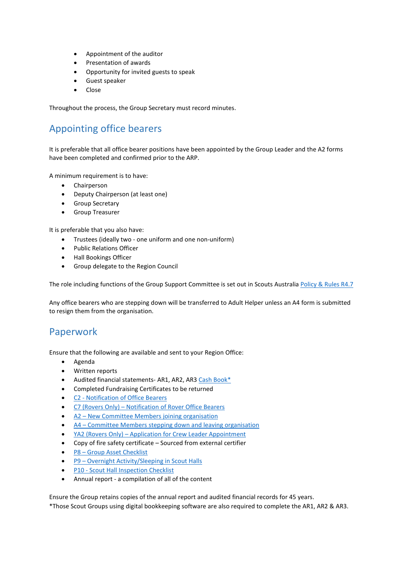- Appointment of the auditor
- Presentation of awards
- Opportunity for invited guests to speak
- Guest speaker
- Close

Throughout the process, the Group Secretary must record minutes.

# Appointing office bearers

It is preferable that all office bearer positions have been appointed by the Group Leader and the A2 forms have been completed and confirmed prior to the ARP.

A minimum requirement is to have:

- Chairperson
- Deputy Chairperson (at least one)
- Group Secretary
- Group Treasurer

It is preferable that you also have:

- Trustees (ideally two one uniform and one non-uniform)
- Public Relations Officer
- Hall Bookings Officer
- Group delegate to the Region Council

The role including functions of the Group Support Committee is set out in Scouts Australi[a Policy & Rules R4.7](https://soz-central.s3.amazonaws.com/products/162/download_file/POLICY_AND_RULES.pdf) 

Any office bearers who are stepping down will be transferred to Adult Helper unless an A4 form is submitted to resign them from the organisation.

#### Paperwork

Ensure that the following are available and sent to your Region Office:

- Agenda
- Written reports
- Audited financial statements- AR1, AR2, AR3 [Cash Book\\*](https://www.nsw.scouts.com.au/wp-content/uploads/2010/10/Cash_Book_2016.xls)
- Completed Fundraising Certificates to be returned
- [C2 Notification of Office Bearers](https://www.nsw.scouts.com.au/wp-content/uploads/state_forms/c2%20-%20office%20bearers%20-%20mar%2016.dot)
- C7 [\(Rovers Only\) Notification of Rover Office Bearers](https://www.nsw.scouts.com.au/wp-content/uploads/state_forms/c7%20-%20rover%20office%20bearers%20-%20mar%2016.dot)
- [A2 New Committee Members joining organisation](https://www.nsw.scouts.com.au/adult-helper-application/)
- [A4 Committee Members stepping down and leaving organisation](https://www.nsw.scouts.com.au/wp-content/uploads/2020/05/A4-Notification-of-Leader-Resignation.docx)
- [YA2 \(Rovers Only\) Application for Crew Leader Appointment](https://www.nsw.scouts.com.au/wp-content/uploads/state_forms/YA2_-_Application_for_Crew_Leader_Appointment_-_Oct_15.dot)
- Copy of fire safety certificate Sourced from external certifier
- [P8 Group Asset Checklist](http://scoutsnsw.foliogrc.com/contracts/new?contract_template=31&token=DZusoXFxuyzHcduryNzB)
- [P9 Overnight Activity/Sleeping in Scout Halls](https://www.nsw.scouts.com.au/wp-content/uploads/state_forms/P9_-_Overnight_Activities_-_Sleeping_in_Scout_Halls_-_Feb_15.pdf)
- [P10 Scout Hall Inspection Checklist](http://scoutsnsw.foliogrc.com/contracts/new?contract_template=16&token=yHxG1KsKn1zzbz_fgEVK)
- Annual report a compilation of all of the content

Ensure the Group retains copies of the annual report and audited financial records for 45 years.

\*Those Scout Groups using digital bookkeeping software are also required to complete the AR1, AR2 & AR3.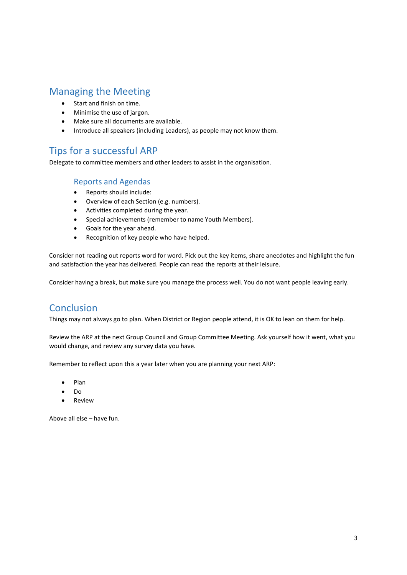### Managing the Meeting

- Start and finish on time.
- Minimise the use of jargon.
- Make sure all documents are available.
- Introduce all speakers (including Leaders), as people may not know them.

# Tips for a successful ARP

Delegate to committee members and other leaders to assist in the organisation.

#### Reports and Agendas

- Reports should include:
- Overview of each Section (e.g. numbers).
- Activities completed during the year.
- Special achievements (remember to name Youth Members).
- Goals for the year ahead.
- Recognition of key people who have helped.

Consider not reading out reports word for word. Pick out the key items, share anecdotes and highlight the fun and satisfaction the year has delivered. People can read the reports at their leisure.

Consider having a break, but make sure you manage the process well. You do not want people leaving early.

#### **Conclusion**

Things may not always go to plan. When District or Region people attend, it is OK to lean on them for help.

Review the ARP at the next Group Council and Group Committee Meeting. Ask yourself how it went, what you would change, and review any survey data you have.

Remember to reflect upon this a year later when you are planning your next ARP:

- Plan
- Do
- **Review**

Above all else – have fun.